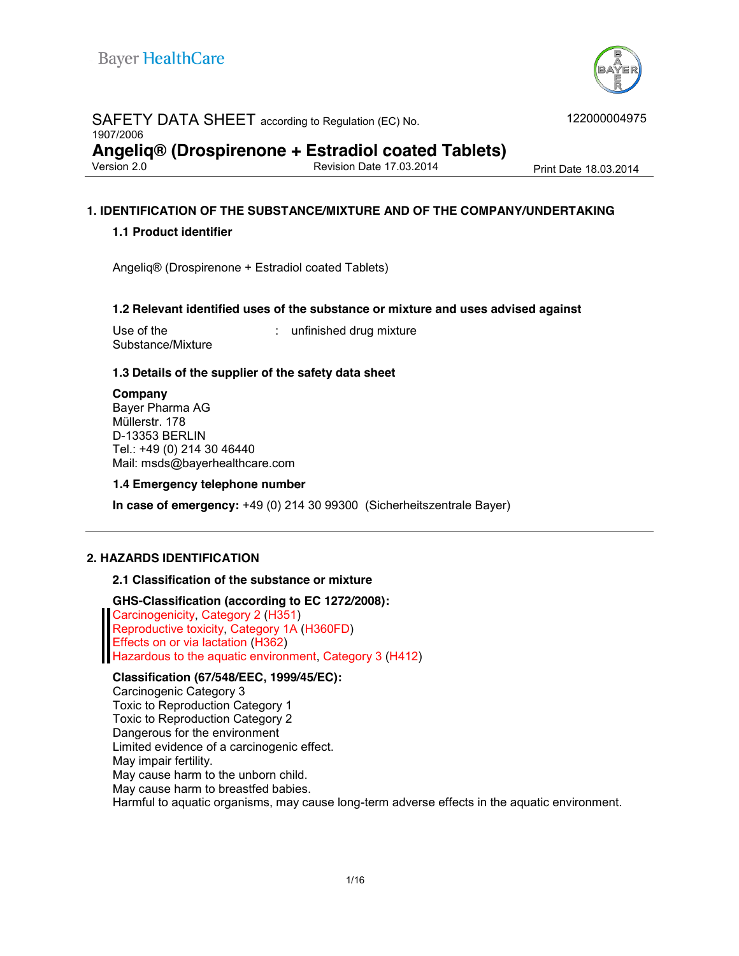

## SAFETY DATA SHEET according to Regulation (EC) No. 1907/2006 **Angeliq® (Drospirenone + Estradiol coated Tablets)** Revision Date 17.03.2014 Print Date 18.03.2014

122000004975

## **1. IDENTIFICATION OF THE SUBSTANCE/MIXTURE AND OF THE COMPANY/UNDERTAKING**

#### **1.1 Product identifier**

Angeliq® (Drospirenone + Estradiol coated Tablets)

#### **1.2 Relevant identified uses of the substance or mixture and uses advised against**

Use of the Substance/Mixture : unfinished drug mixture

## **1.3 Details of the supplier of the safety data sheet**

**Company** Bayer Pharma AG Müllerstr. 178 D-13353 BERLIN Tel.: +49 (0) 214 30 46440 Mail: msds@bayerhealthcare.com

#### **1.4 Emergency telephone number**

**In case of emergency:** +49 (0) 214 30 99300 (Sicherheitszentrale Bayer)

#### **2. HAZARDS IDENTIFICATION**

#### **2.1 Classification of the substance or mixture**

#### **GHS-Classification (according to EC 1272/2008):**

Carcinogenicity, Category 2 (H351) Reproductive toxicity, Category 1A (H360FD) Effects on or via lactation (H362) Hazardous to the aquatic environment, Category 3 (H412)

#### **Classification (67/548/EEC, 1999/45/EC):**

Carcinogenic Category 3 Toxic to Reproduction Category 1 Toxic to Reproduction Category 2 Dangerous for the environment Limited evidence of a carcinogenic effect. May impair fertility. May cause harm to the unborn child. May cause harm to breastfed babies. Harmful to aquatic organisms, may cause long-term adverse effects in the aquatic environment.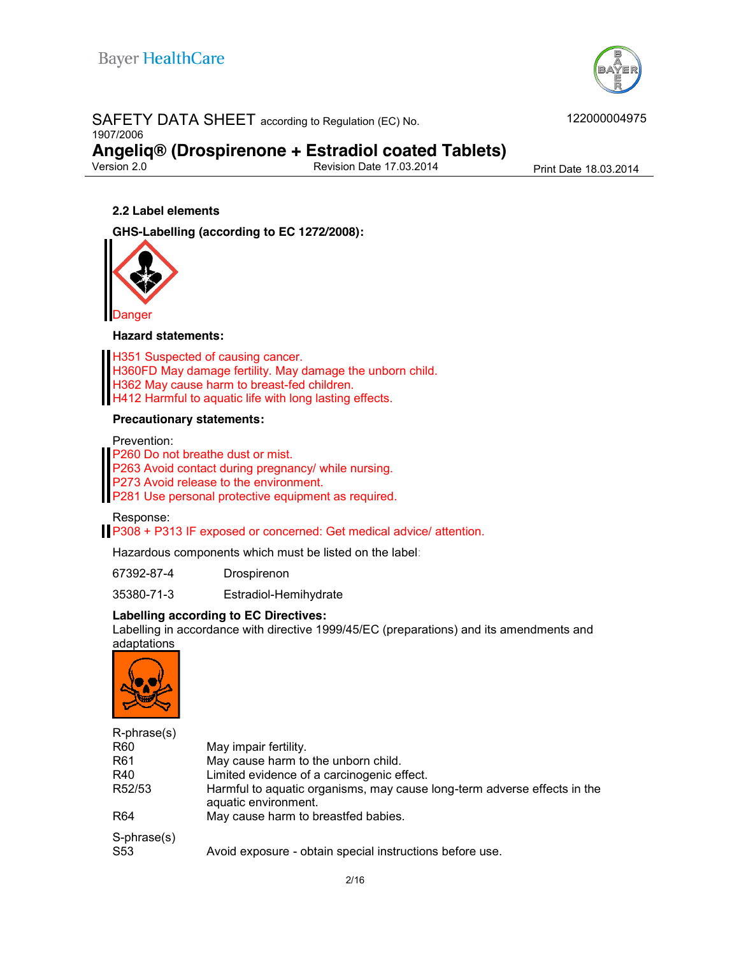

#### SAFETY DATA SHEET according to Regulation (EC) No. 1907/2006

**Angeliq® (Drospirenone + Estradiol coated Tablets)**

Revision Date 17.03.2014 Print Date 18.03.2014

#### **2.2 Label elements**

**GHS-Labelling (according to EC 1272/2008):**



#### **Hazard statements:**

H351 Suspected of causing cancer. H360FD May damage fertility. May damage the unborn child. H362 May cause harm to breast-fed children. H412 Harmful to aquatic life with long lasting effects.

#### **Precautionary statements:**

Prevention:

P260 Do not breathe dust or mist.

P263 Avoid contact during pregnancy/ while nursing.

P273 Avoid release to the environment.

**P281 Use personal protective equipment as required.** 

Response:

P308 + P313 IF exposed or concerned: Get medical advice/ attention.

Hazardous components which must be listed on the label:

67392-87-4 Drospirenon

35380-71-3 Estradiol-Hemihydrate

#### **Labelling according to EC Directives:**

Labelling in accordance with directive 1999/45/EC (preparations) and its amendments and adaptations



| $R$ -phrase $(s)$  |                                                                                                  |
|--------------------|--------------------------------------------------------------------------------------------------|
| R <sub>60</sub>    | May impair fertility.                                                                            |
| R61                | May cause harm to the unborn child.                                                              |
| R40                | Limited evidence of a carcinogenic effect.                                                       |
| R52/53             | Harmful to aquatic organisms, may cause long-term adverse effects in the<br>aquatic environment. |
| R <sub>64</sub>    | May cause harm to breastfed babies.                                                              |
| S-phrase(s)<br>S53 | Avoid exposure - obtain special instructions before use.                                         |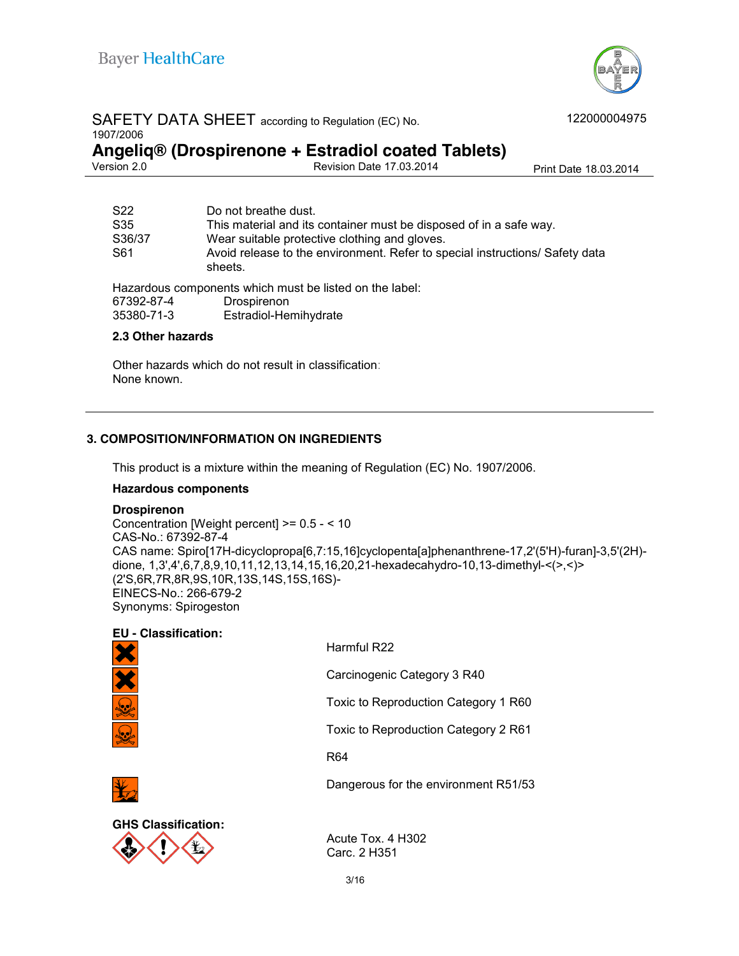

# SAFETY DATA SHEET according to Regulation (EC) No.

1907/2006

**Angeliq® (Drospirenone + Estradiol coated Tablets)** Revision Date 17.03.2014 Print Date 18.03.2014

| S22        | Do not breathe dust.                                                                    |
|------------|-----------------------------------------------------------------------------------------|
| S35        | This material and its container must be disposed of in a safe way.                      |
| S36/37     | Wear suitable protective clothing and gloves.                                           |
| S61        | Avoid release to the environment. Refer to special instructions/ Safety data<br>sheets. |
|            | Hazardous components which must be listed on the label:                                 |
| 67392-87-4 | Drospirenon                                                                             |
| 35380-71-3 | Estradiol-Hemihydrate                                                                   |

#### **2.3 Other hazards**

Other hazards which do not result in classification: None known.

## **3. COMPOSITION/INFORMATION ON INGREDIENTS**

This product is a mixture within the meaning of Regulation (EC) No. 1907/2006.

#### **Hazardous components**

#### **Drospirenon**

Concentration [Weight percent] >= 0.5 - < 10 CAS-No.: 67392-87-4 CAS name: Spiro[17H-dicyclopropa[6,7:15,16]cyclopenta[a]phenanthrene-17,2'(5'H)-furan]-3,5'(2H) dione, 1,3',4',6,7,8,9,10,11,12,13,14,15,16,20,21-hexadecahydro-10,13-dimethyl-<(>,<)> (2'S,6R,7R,8R,9S,10R,13S,14S,15S,16S)- EINECS-No.: 266-679-2 Synonyms: Spirogeston

## **EU - Classification:**



Harmful R22

Carcinogenic Category 3 R40

Toxic to Reproduction Category 1 R60

Toxic to Reproduction Category 2 R61

Dangerous for the environment R51/53

R64



Acute Tox. 4 H302 Carc. 2 H351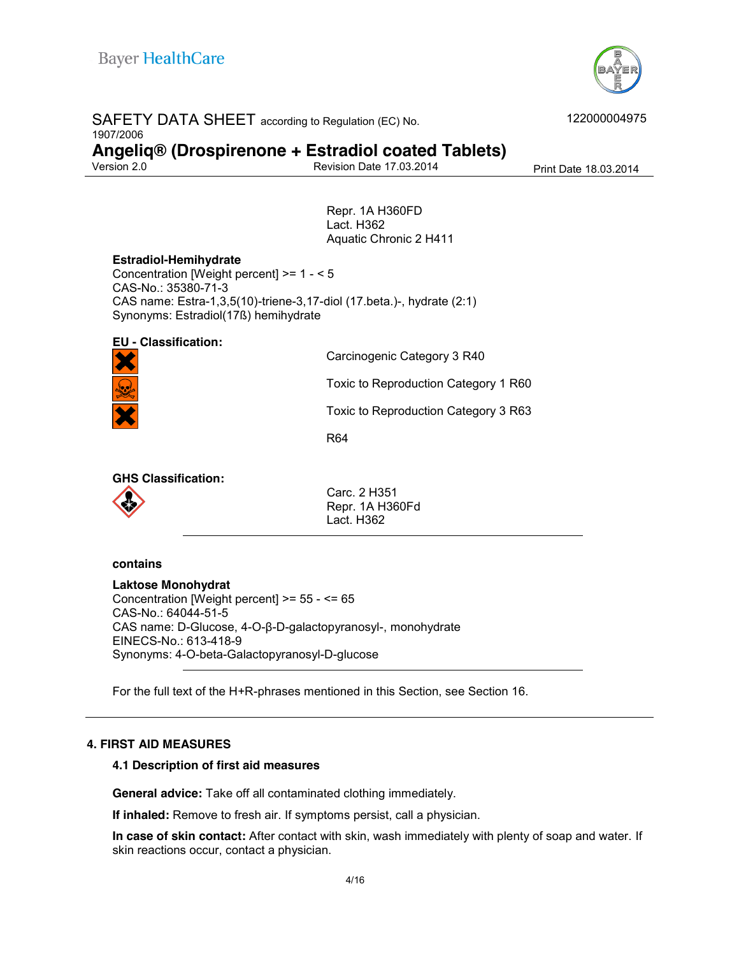

| SAFETY DATA SHEET according to Regulation (EC) No.<br>1907/2006 | 122000004975                                       |                       |
|-----------------------------------------------------------------|----------------------------------------------------|-----------------------|
|                                                                 | Angeliq® (Drospirenone + Estradiol coated Tablets) |                       |
| Version 2.0                                                     | <b>Revision Date 17.03.2014</b>                    | Print Date 18.03.2014 |
|                                                                 |                                                    |                       |
|                                                                 | Repr. 1A H360FD                                    |                       |
|                                                                 | Lact. H362                                         |                       |
|                                                                 | Aquatic Chronic 2 H411                             |                       |

## **Estradiol-Hemihydrate**

Concentration [Weight percent] >= 1 - < 5 CAS-No.: 35380-71-3 CAS name: Estra-1,3,5(10)-triene-3,17-diol (17.beta.)-, hydrate (2:1) Synonyms: Estradiol(17ß) hemihydrate

# **EU - Classification:**

Carcinogenic Category 3 R40

Toxic to Reproduction Category 1 R60

Toxic to Reproduction Category 3 R63

R64

**GHS Classification:**



Carc. 2 H351 Repr. 1A H360Fd Lact. H362

#### **contains**

**Laktose Monohydrat** Concentration [Weight percent] >= 55 - <= 65 CAS-No.: 64044-51-5 CAS name: D-Glucose, 4-O-β-D-galactopyranosyl-, monohydrate EINECS-No.: 613-418-9 Synonyms: 4-O-beta-Galactopyranosyl-D-glucose

For the full text of the H+R-phrases mentioned in this Section, see Section 16.

## **4. FIRST AID MEASURES**

## **4.1 Description of first aid measures**

**General advice:** Take off all contaminated clothing immediately.

**If inhaled:** Remove to fresh air. If symptoms persist, call a physician.

**In case of skin contact:** After contact with skin, wash immediately with plenty of soap and water. If skin reactions occur, contact a physician.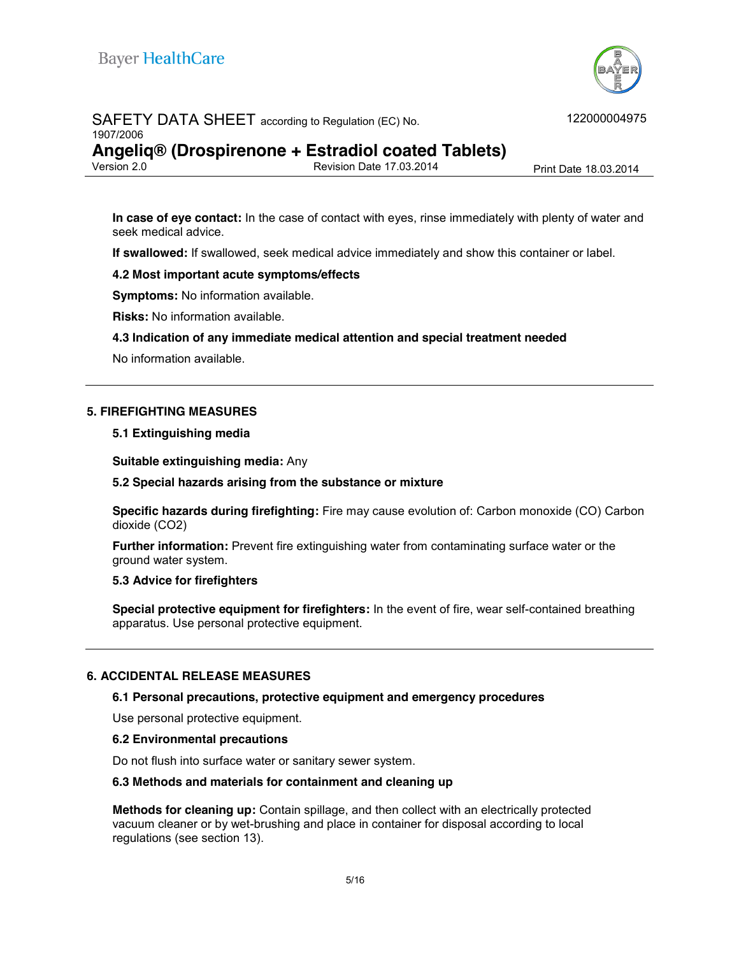

#### SAFETY DATA SHEET according to Regulation (EC) No. 1907/2006

**Angeliq® (Drospirenone + Estradiol coated Tablets)**

Revision Date 17.03.2014 Print Date 18.03.2014

**In case of eye contact:** In the case of contact with eyes, rinse immediately with plenty of water and seek medical advice.

**If swallowed:** If swallowed, seek medical advice immediately and show this container or label.

#### **4.2 Most important acute symptoms/effects**

**Symptoms:** No information available.

**Risks:** No information available.

#### **4.3 Indication of any immediate medical attention and special treatment needed**

No information available.

#### **5. FIREFIGHTING MEASURES**

#### **5.1 Extinguishing media**

**Suitable extinguishing media:** Any

#### **5.2 Special hazards arising from the substance or mixture**

**Specific hazards during firefighting:** Fire may cause evolution of: Carbon monoxide (CO) Carbon dioxide (CO2)

**Further information:** Prevent fire extinguishing water from contaminating surface water or the ground water system.

#### **5.3 Advice for firefighters**

**Special protective equipment for firefighters:** In the event of fire, wear self-contained breathing apparatus. Use personal protective equipment.

#### **6. ACCIDENTAL RELEASE MEASURES**

#### **6.1 Personal precautions, protective equipment and emergency procedures**

Use personal protective equipment.

#### **6.2 Environmental precautions**

Do not flush into surface water or sanitary sewer system.

#### **6.3 Methods and materials for containment and cleaning up**

**Methods for cleaning up:** Contain spillage, and then collect with an electrically protected vacuum cleaner or by wet-brushing and place in container for disposal according to local regulations (see section 13).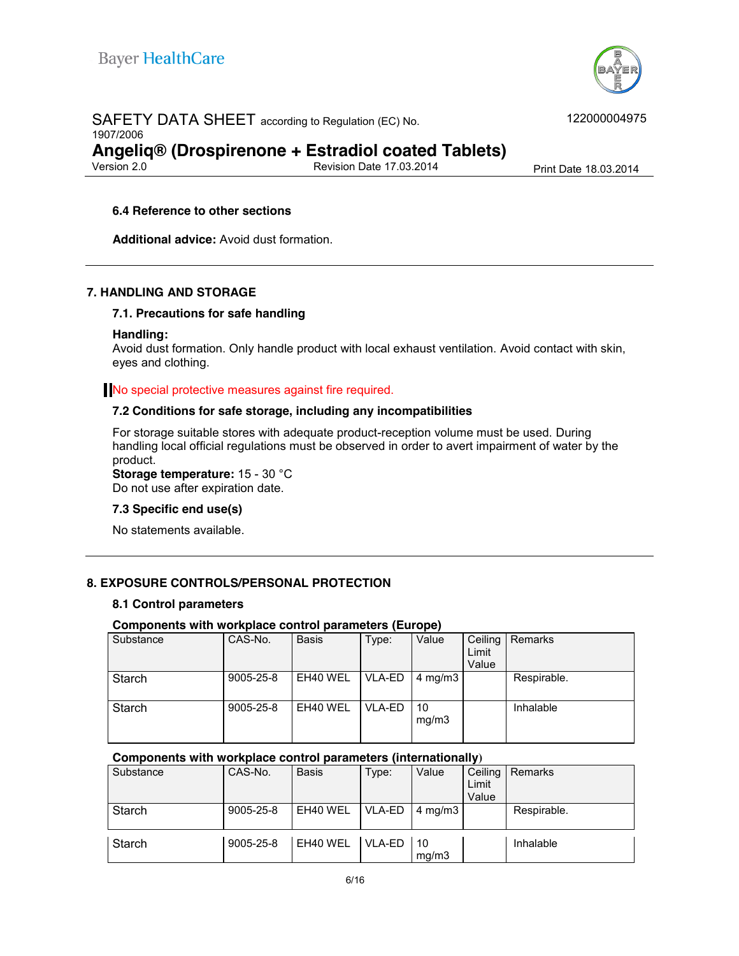

# SAFETY DATA SHEET according to Regulation (EC) No. 1907/2006 **Angeliq® (Drospirenone + Estradiol coated Tablets)**

Revision Date 17.03.2014 Print Date 18.03.2014

#### **6.4 Reference to other sections**

**Additional advice:** Avoid dust formation.

#### **7. HANDLING AND STORAGE**

#### **7.1. Precautions for safe handling**

#### **Handling:**

Avoid dust formation. Only handle product with local exhaust ventilation. Avoid contact with skin, eyes and clothing.

#### No special protective measures against fire required.

#### **7.2 Conditions for safe storage, including any incompatibilities**

For storage suitable stores with adequate product-reception volume must be used. During handling local official regulations must be observed in order to avert impairment of water by the product.

**Storage temperature:** 15 - 30 °C

Do not use after expiration date.

#### **7.3 Specific end use(s)**

No statements available.

#### **8. EXPOSURE CONTROLS/PERSONAL PROTECTION**

#### **8.1 Control parameters**

#### **Components with workplace control parameters (Europe)**

| Substance     | CAS-No.         | <b>Basis</b> | Type:  | Value              | Ceiling<br>Limit<br>Value | Remarks     |
|---------------|-----------------|--------------|--------|--------------------|---------------------------|-------------|
| <b>Starch</b> | $9005 - 25 - 8$ | EH40 WEL     | VLA-ED | $4 \text{ mg/m}$ 3 |                           | Respirable. |
| <b>Starch</b> | $9005 - 25 - 8$ | EH40 WEL     | VLA-ED | 10<br>mq/m3        |                           | Inhalable   |

#### **Components with workplace control parameters (internationally)**

| Substance     | CAS-No.   | <b>Basis</b> | Type:  | Value                    | Ceiling<br>Limit<br>Value | Remarks     |
|---------------|-----------|--------------|--------|--------------------------|---------------------------|-------------|
| <b>Starch</b> | 9005-25-8 | EH40 WEL     | VLA-ED | $\mid$ 4 mg/m3           |                           | Respirable. |
| Starch        | 9005-25-8 | EH40 WEL     | VLA-ED | $\overline{10}$<br>ma/m3 |                           | Inhalable   |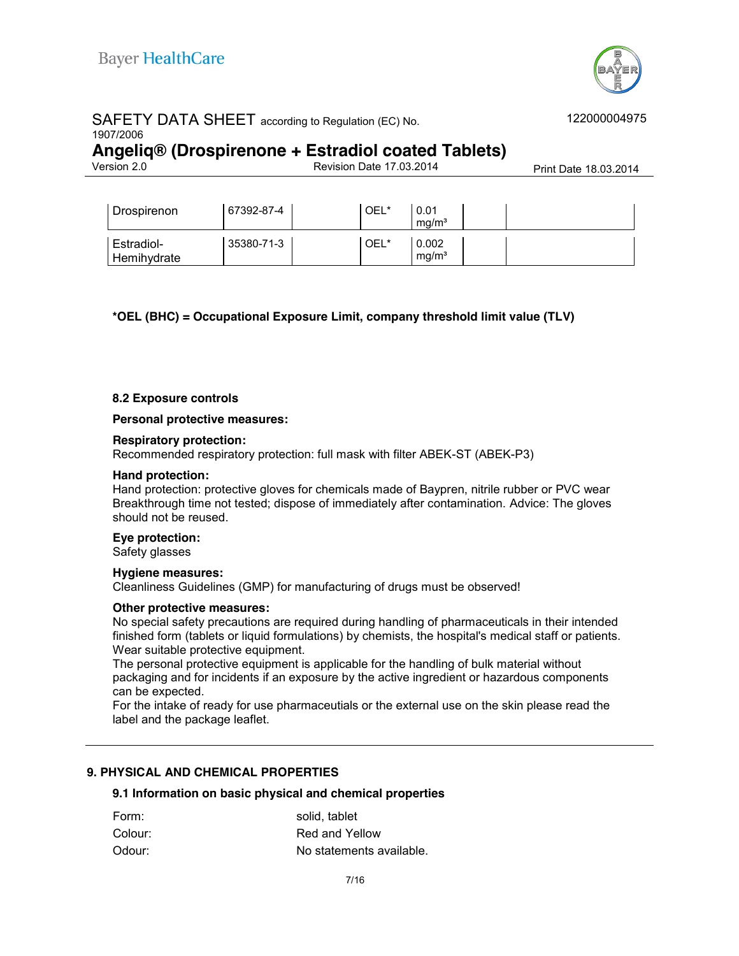

# SAFETY DATA SHEET according to Regulation (EC) No. 1907/2006

# **Angeliq® (Drospirenone + Estradiol coated Tablets)**

Revision Date 17.03.2014 Print Date 18.03.2014

| Drospirenon               | 67392-87-4 | OEL* | 0.01<br>ma/m <sup>3</sup>  |  |
|---------------------------|------------|------|----------------------------|--|
| Estradiol-<br>Hemihydrate | 35380-71-3 | OEL* | 0.002<br>mq/m <sup>3</sup> |  |

**\*OEL (BHC) = Occupational Exposure Limit, company threshold limit value (TLV)**

#### **8.2 Exposure controls**

**Personal protective measures:** 

#### **Respiratory protection:**

Recommended respiratory protection: full mask with filter ABEK-ST (ABEK-P3)

#### **Hand protection:**

Hand protection: protective gloves for chemicals made of Baypren, nitrile rubber or PVC wear Breakthrough time not tested; dispose of immediately after contamination. Advice: The gloves should not be reused.

#### **Eye protection:**

Safety glasses

#### **Hygiene measures:**

Cleanliness Guidelines (GMP) for manufacturing of drugs must be observed!

#### **Other protective measures:**

No special safety precautions are required during handling of pharmaceuticals in their intended finished form (tablets or liquid formulations) by chemists, the hospital's medical staff or patients. Wear suitable protective equipment.

The personal protective equipment is applicable for the handling of bulk material without packaging and for incidents if an exposure by the active ingredient or hazardous components can be expected.

For the intake of ready for use pharmaceutials or the external use on the skin please read the label and the package leaflet.

#### **9. PHYSICAL AND CHEMICAL PROPERTIES**

#### **9.1 Information on basic physical and chemical properties**

| Form:   | solid, tablet            |
|---------|--------------------------|
| Colour: | Red and Yellow           |
| Odour:  | No statements available. |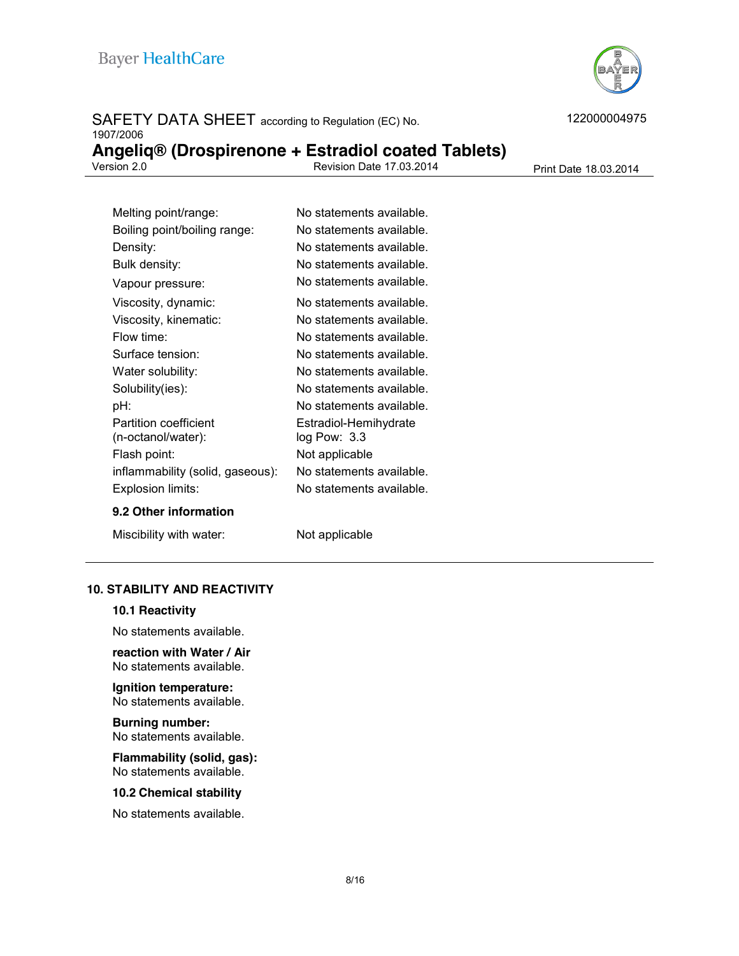

# SAFETY DATA SHEET according to Regulation (EC) No. 1907/2006

|             | Angeliq® (Drospirenone + Estradiol coated Tablets) |                       |
|-------------|----------------------------------------------------|-----------------------|
| Version 2.0 | Revision Date 17,03,2014                           | Print Date 18.03.2014 |

| Melting point/range:             | No statements available. |
|----------------------------------|--------------------------|
| Boiling point/boiling range:     | No statements available. |
| Density:                         | No statements available. |
| Bulk density:                    | No statements available. |
| Vapour pressure:                 | No statements available. |
| Viscosity, dynamic:              | No statements available. |
| Viscosity, kinematic:            | No statements available. |
| Flow time:                       | No statements available. |
| Surface tension:                 | No statements available. |
| Water solubility:                | No statements available. |
| Solubility(ies):                 | No statements available. |
| pH:                              | No statements available. |
| Partition coefficient            | Estradiol-Hemihydrate    |
| (n-octanol/water):               | $log$ Pow: $3.3$         |
| Flash point:                     | Not applicable           |
| inflammability (solid, gaseous): | No statements available. |
| Explosion limits:                | No statements available. |
| 9.2 Other information            |                          |

Miscibility with water: Not applicable

#### **10. STABILITY AND REACTIVITY**

#### **10.1 Reactivity**

No statements available.

**reaction with Water / Air** No statements available.

# **Ignition temperature:**

No statements available.

**Burning number:**  No statements available.

**Flammability (solid, gas):** No statements available.

#### **10.2 Chemical stability**

No statements available.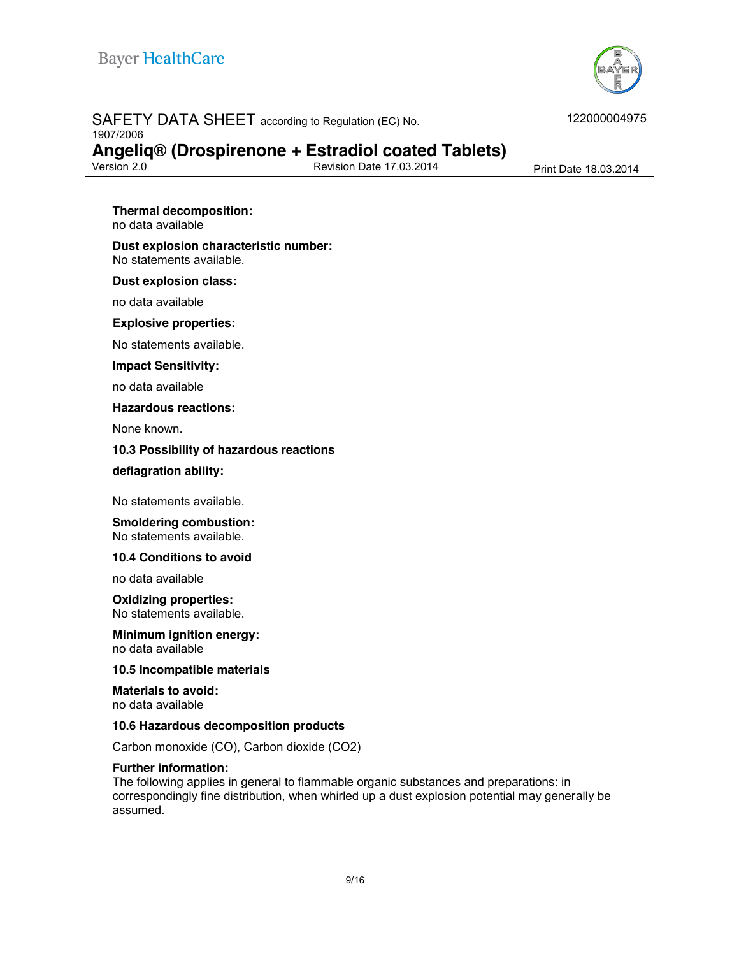

# SAFETY DATA SHEET according to Regulation (EC) No.

1907/2006

# **Angeliq® (Drospirenone + Estradiol coated Tablets)**

Revision Date 17.03.2014 Print Date 18.03.2014

#### **Thermal decomposition:**

no data available

#### **Dust explosion characteristic number:** No statements available.

#### **Dust explosion class:**

no data available

#### **Explosive properties:**

No statements available.

#### **Impact Sensitivity:**

no data available

#### **Hazardous reactions:**

None known.

#### **10.3 Possibility of hazardous reactions**

#### **deflagration ability:**

No statements available.

#### **Smoldering combustion:**  No statements available.

**10.4 Conditions to avoid**

no data available

#### **Oxidizing properties:** No statements available.

**Minimum ignition energy:**  no data available

#### **10.5 Incompatible materials**

**Materials to avoid:**  no data available

#### **10.6 Hazardous decomposition products**

Carbon monoxide (CO), Carbon dioxide (CO2)

#### **Further information:**

The following applies in general to flammable organic substances and preparations: in correspondingly fine distribution, when whirled up a dust explosion potential may generally be assumed.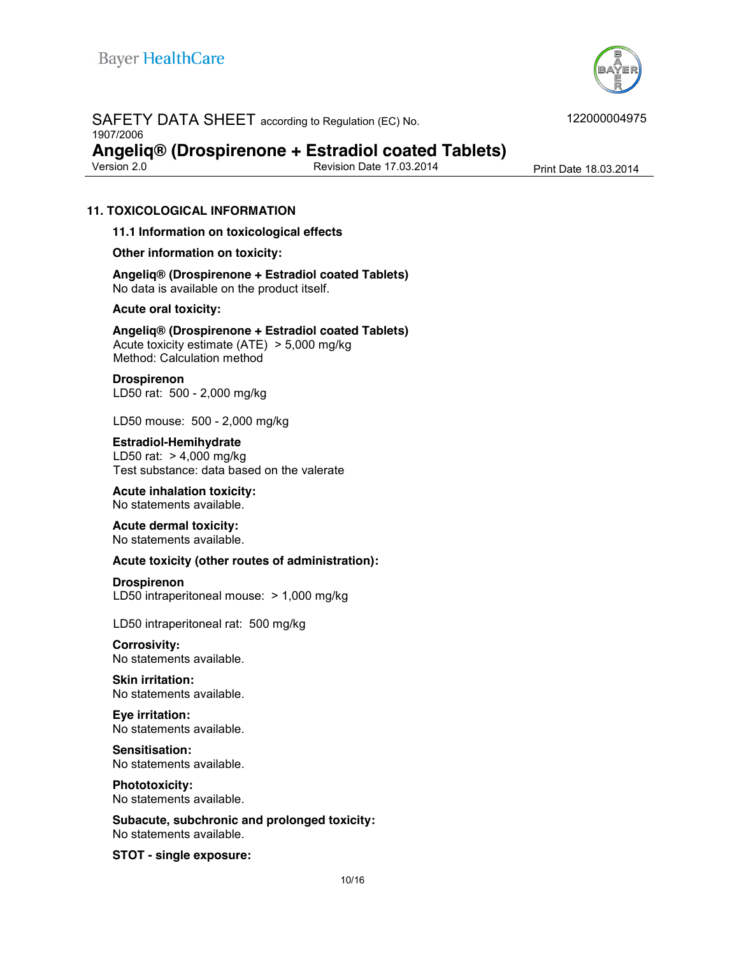

#### SAFETY DATA SHEET according to Regulation (EC) No. 1907/2006

**Angeliq® (Drospirenone + Estradiol coated Tablets)**

Revision Date 17.03.2014 Print Date 18.03.2014

#### **11. TOXICOLOGICAL INFORMATION**

**11.1 Information on toxicological effects**

**Other information on toxicity:**

**Angeliq® (Drospirenone + Estradiol coated Tablets)** No data is available on the product itself.

#### **Acute oral toxicity:**

**Angeliq® (Drospirenone + Estradiol coated Tablets)** Acute toxicity estimate (ATE) > 5,000 mg/kg Method: Calculation method

**Drospirenon** LD50 rat: 500 - 2,000 mg/kg

LD50 mouse: 500 - 2,000 mg/kg

**Estradiol-Hemihydrate** LD50 rat: > 4,000 mg/kg

Test substance: data based on the valerate

**Acute inhalation toxicity:** No statements available.

**Acute dermal toxicity:**

No statements available.

#### **Acute toxicity (other routes of administration):**

#### **Drospirenon**

LD50 intraperitoneal mouse: > 1,000 mg/kg

LD50 intraperitoneal rat: 500 mg/kg

**Corrosivity:** No statements available.

**Skin irritation:**  No statements available.

**Eye irritation:**  No statements available.

#### **Sensitisation:**

No statements available.

## **Phototoxicity:**

No statements available.

**Subacute, subchronic and prolonged toxicity:** No statements available.

**STOT - single exposure:**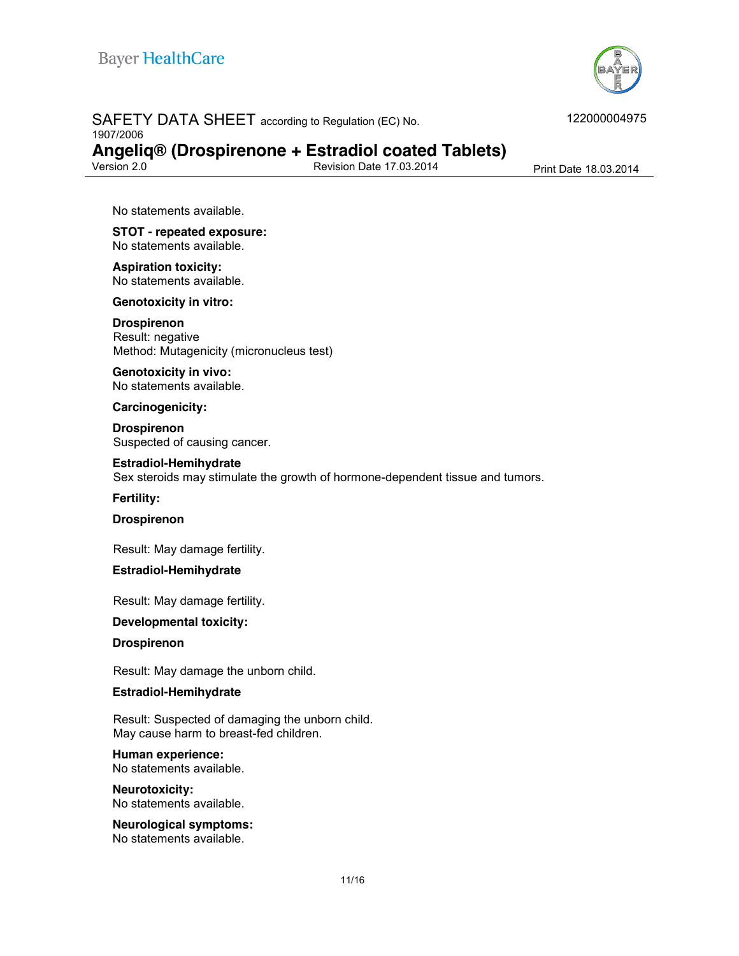

# SAFETY DATA SHEET according to Regulation (EC) No. 1907/2006 **Angeliq® (Drospirenone + Estradiol coated Tablets)**

Revision Date 17.03.2014 Print Date 18.03.2014

No statements available.

**STOT - repeated exposure:** No statements available.

**Aspiration toxicity:** No statements available.

**Genotoxicity in vitro:**

**Drospirenon** Result: negative Method: Mutagenicity (micronucleus test)

**Genotoxicity in vivo:** No statements available.

**Carcinogenicity:**

**Drospirenon** Suspected of causing cancer.

#### **Estradiol-Hemihydrate**

Sex steroids may stimulate the growth of hormone-dependent tissue and tumors.

**Fertility:**

**Drospirenon**

Result: May damage fertility.

**Estradiol-Hemihydrate**

Result: May damage fertility.

**Developmental toxicity:**

**Drospirenon**

Result: May damage the unborn child.

#### **Estradiol-Hemihydrate**

Result: Suspected of damaging the unborn child. May cause harm to breast-fed children.

#### **Human experience:**

No statements available.

**Neurotoxicity:** No statements available.

**Neurological symptoms:** No statements available.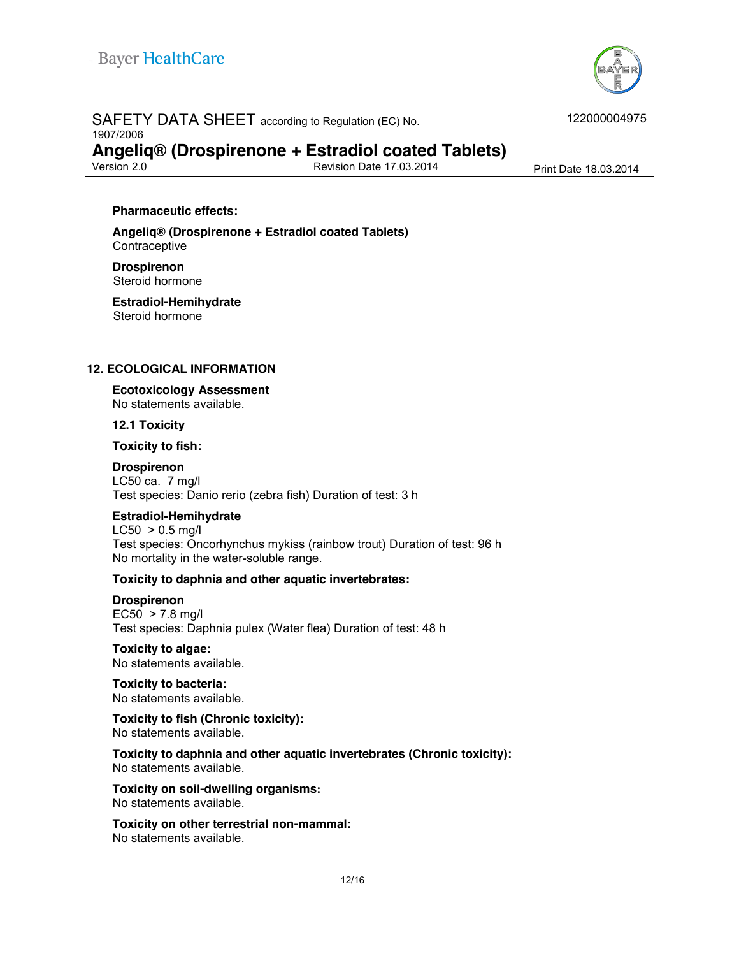

# SAFETY DATA SHEET according to Regulation (EC) No. 1907/2006

122000004975

# **Angeliq® (Drospirenone + Estradiol coated Tablets)**

Revision Date 17.03.2014 Print Date 18.03.2014

#### **Pharmaceutic effects:**

**Angeliq® (Drospirenone + Estradiol coated Tablets) Contraceptive** 

**Drospirenon** Steroid hormone

**Estradiol-Hemihydrate** Steroid hormone

#### **12. ECOLOGICAL INFORMATION**

**Ecotoxicology Assessment** No statements available.

**12.1 Toxicity**

**Toxicity to fish:** 

#### **Drospirenon**

LC50 ca. 7 mg/l Test species: Danio rerio (zebra fish) Duration of test: 3 h

#### **Estradiol-Hemihydrate**

 $LC50 > 0.5$  mg/l Test species: Oncorhynchus mykiss (rainbow trout) Duration of test: 96 h No mortality in the water-soluble range.

#### **Toxicity to daphnia and other aquatic invertebrates:**

**Drospirenon**  $EC50 > 7.8$  mg/l Test species: Daphnia pulex (Water flea) Duration of test: 48 h

**Toxicity to algae:**  No statements available.

**Toxicity to bacteria:**  No statements available.

**Toxicity to fish (Chronic toxicity):**  No statements available.

**Toxicity to daphnia and other aquatic invertebrates (Chronic toxicity):**  No statements available.

**Toxicity on soil-dwelling organisms:** No statements available.

**Toxicity on other terrestrial non-mammal:**  No statements available.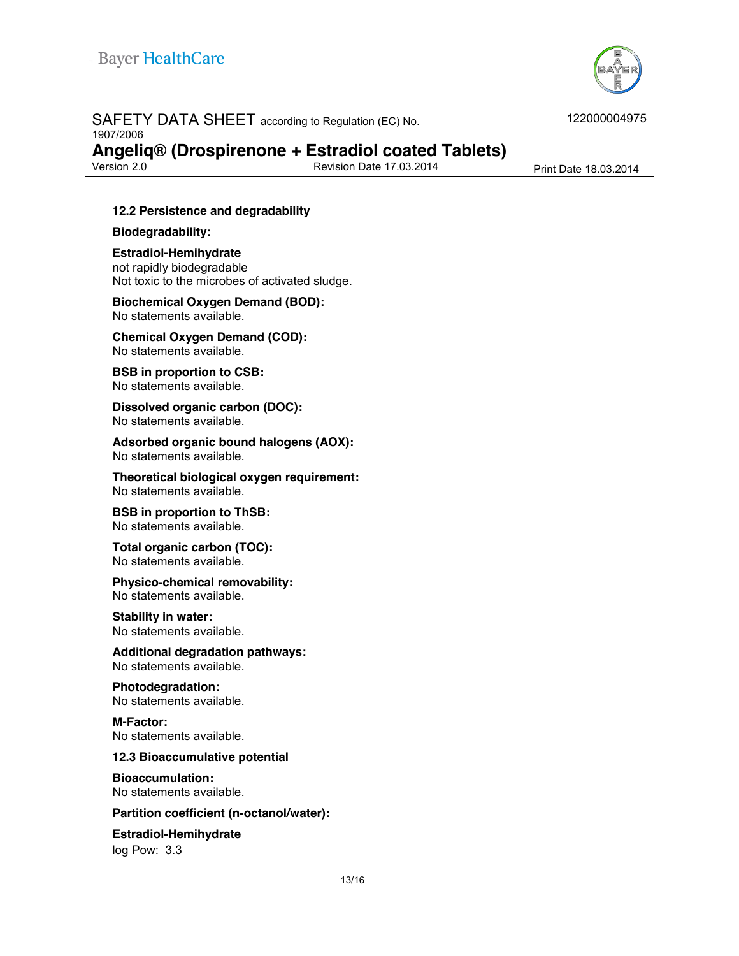

# SAFETY DATA SHEET according to Regulation (EC) No. 1907/2006

**Angeliq® (Drospirenone + Estradiol coated Tablets)**

Revision Date 17.03.2014 Print Date 18.03.2014

#### **12.2 Persistence and degradability**

#### **Biodegradability:**

**Estradiol-Hemihydrate** not rapidly biodegradable Not toxic to the microbes of activated sludge.

#### **Biochemical Oxygen Demand (BOD):** No statements available.

**Chemical Oxygen Demand (COD):** No statements available.

**BSB in proportion to CSB:** No statements available.

**Dissolved organic carbon (DOC):**  No statements available.

**Adsorbed organic bound halogens (AOX):**  No statements available.

**Theoretical biological oxygen requirement:** No statements available.

**BSB in proportion to ThSB:**  No statements available.

**Total organic carbon (TOC):**  No statements available.

**Physico-chemical removability:**  No statements available.

# **Stability in water:**

No statements available.

**Additional degradation pathways:**  No statements available.

**Photodegradation:**  No statements available.

**M-Factor:** No statements available.

#### **12.3 Bioaccumulative potential**

**Bioaccumulation:**  No statements available.

#### **Partition coefficient (n-octanol/water):**

## **Estradiol-Hemihydrate**

log Pow: 3.3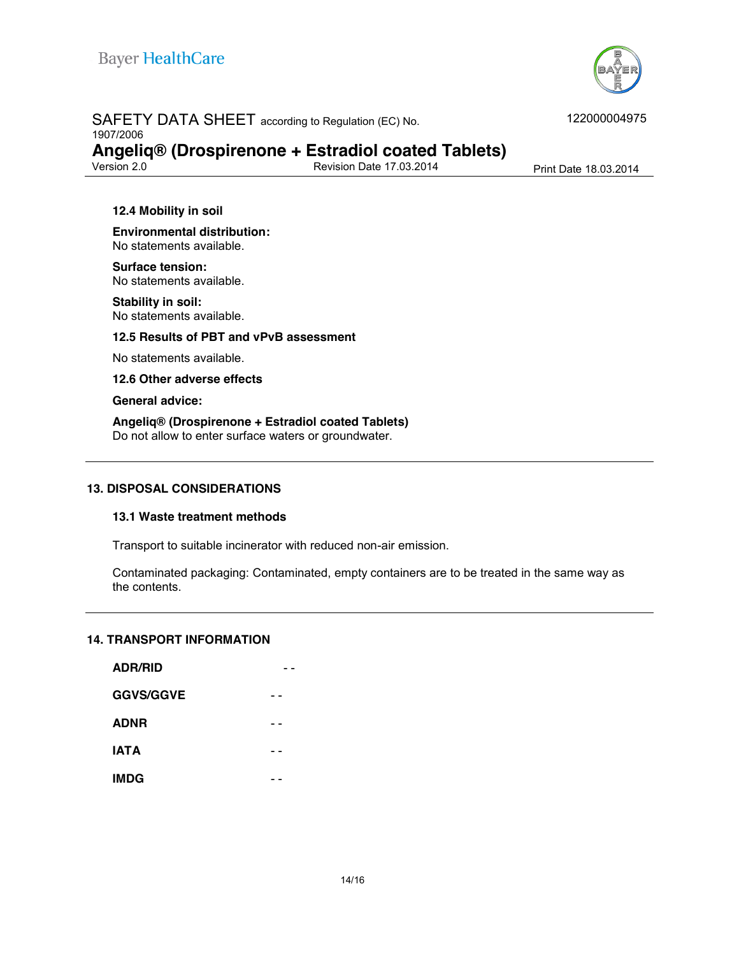

# SAFETY DATA SHEET according to Regulation (EC) No.

1907/2006

# **Angeliq® (Drospirenone + Estradiol coated Tablets)**

Revision Date 17.03.2014 Print Date 18.03.2014

#### **12.4 Mobility in soil**

**Environmental distribution:**  No statements available.

**Surface tension:** No statements available.

**Stability in soil:**  No statements available.

**12.5 Results of PBT and vPvB assessment**

No statements available.

**12.6 Other adverse effects**

**General advice:**

#### **Angeliq® (Drospirenone + Estradiol coated Tablets)**

Do not allow to enter surface waters or groundwater.

#### **13. DISPOSAL CONSIDERATIONS**

#### **13.1 Waste treatment methods**

Transport to suitable incinerator with reduced non-air emission.

Contaminated packaging: Contaminated, empty containers are to be treated in the same way as the contents.

#### **14. TRANSPORT INFORMATION**

| <b>ADR/RID</b>   |  |
|------------------|--|
| <b>GGVS/GGVE</b> |  |
| <b>ADNR</b>      |  |
| <b>IATA</b>      |  |
| <b>IMDG</b>      |  |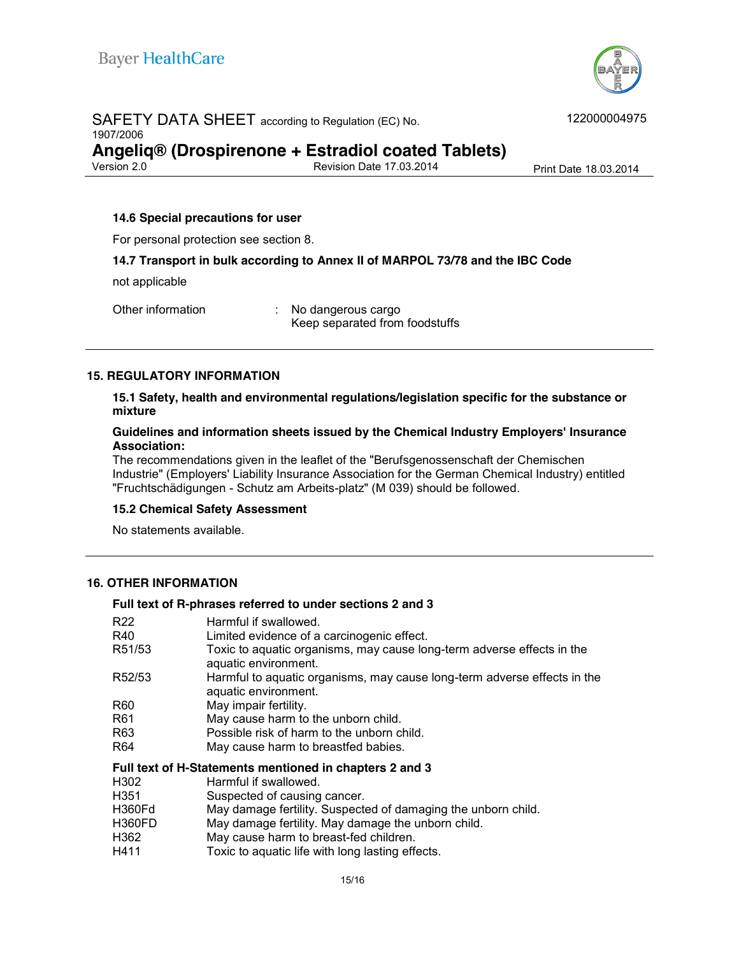

# SAFETY DATA SHEET according to Regulation (EC) No. 1907/2006 **Angeliq® (Drospirenone + Estradiol coated Tablets)**

Revision Date 17.03.2014 Print Date 18.03.2014

#### **14.6 Special precautions for user**

For personal protection see section 8.

#### **14.7 Transport in bulk according to Annex II of MARPOL 73/78 and the IBC Code**

not applicable

Other information : No dangerous cargo

Keep separated from foodstuffs

#### **15. REGULATORY INFORMATION**

**15.1 Safety, health and environmental regulations/legislation specific for the substance or mixture**

#### **Guidelines and information sheets issued by the Chemical Industry Employers' Insurance Association:**

The recommendations given in the leaflet of the "Berufsgenossenschaft der Chemischen Industrie" (Employers' Liability Insurance Association for the German Chemical Industry) entitled "Fruchtschädigungen - Schutz am Arbeits-platz" (M 039) should be followed.

#### **15.2 Chemical Safety Assessment**

No statements available.

#### **16. OTHER INFORMATION**

#### **Full text of R-phrases referred to under sections 2 and 3**

| R22     | Harmful if swallowed.                                                    |
|---------|--------------------------------------------------------------------------|
|         |                                                                          |
| R40     | Limited evidence of a carcinogenic effect.                               |
| R51/53  | Toxic to aquatic organisms, may cause long-term adverse effects in the   |
|         | aquatic environment.                                                     |
| R52/53  | Harmful to aquatic organisms, may cause long-term adverse effects in the |
|         | aquatic environment.                                                     |
| R60     | May impair fertility.                                                    |
| R61     | May cause harm to the unborn child.                                      |
| R63     | Possible risk of harm to the unborn child.                               |
| R64     | May cause harm to breastfed babies.                                      |
|         | Full text of H-Statements mentioned in chapters 2 and 3                  |
| H302    | Harmful if swallowed.                                                    |
| H351    | Suspected of causing cancer.                                             |
| LIDRALA | Moy domage fertility. Cuspected of domaging the unbern obild             |

- H360Fd May damage fertility. Suspected of damaging the unborn child.
- H360FD May damage fertility. May damage the unborn child.
- H362 May cause harm to breast-fed children.
- H411 Toxic to aquatic life with long lasting effects.